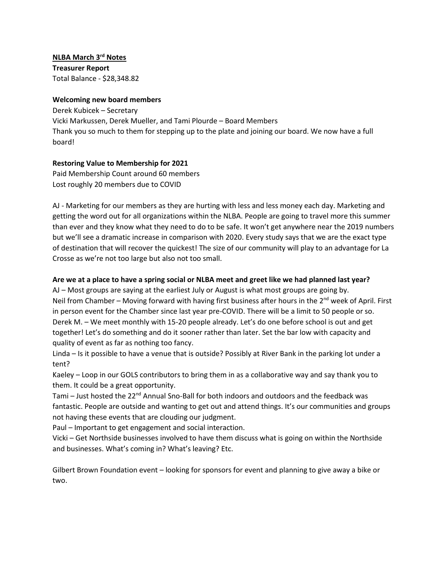# **NLBA March 3rd Notes Treasurer Report**

Total Balance - \$28,348.82

#### **Welcoming new board members**

Derek Kubicek – Secretary Vicki Markussen, Derek Mueller, and Tami Plourde – Board Members Thank you so much to them for stepping up to the plate and joining our board. We now have a full board!

# **Restoring Value to Membership for 2021**

Paid Membership Count around 60 members Lost roughly 20 members due to COVID

AJ - Marketing for our members as they are hurting with less and less money each day. Marketing and getting the word out for all organizations within the NLBA. People are going to travel more this summer than ever and they know what they need to do to be safe. It won't get anywhere near the 2019 numbers but we'll see a dramatic increase in comparison with 2020. Every study says that we are the exact type of destination that will recover the quickest! The size of our community will play to an advantage for La Crosse as we're not too large but also not too small.

# **Are we at a place to have a spring social or NLBA meet and greet like we had planned last year?**

AJ – Most groups are saying at the earliest July or August is what most groups are going by. Neil from Chamber – Moving forward with having first business after hours in the  $2^{nd}$  week of April. First in person event for the Chamber since last year pre-COVID. There will be a limit to 50 people or so. Derek M. – We meet monthly with 15-20 people already. Let's do one before school is out and get together! Let's do something and do it sooner rather than later. Set the bar low with capacity and quality of event as far as nothing too fancy.

Linda – Is it possible to have a venue that is outside? Possibly at River Bank in the parking lot under a tent?

Kaeley – Loop in our GOLS contributors to bring them in as a collaborative way and say thank you to them. It could be a great opportunity.

Tami – Just hosted the 22<sup>nd</sup> Annual Sno-Ball for both indoors and outdoors and the feedback was fantastic. People are outside and wanting to get out and attend things. It's our communities and groups not having these events that are clouding our judgment.

Paul – Important to get engagement and social interaction.

Vicki – Get Northside businesses involved to have them discuss what is going on within the Northside and businesses. What's coming in? What's leaving? Etc.

Gilbert Brown Foundation event – looking for sponsors for event and planning to give away a bike or two.